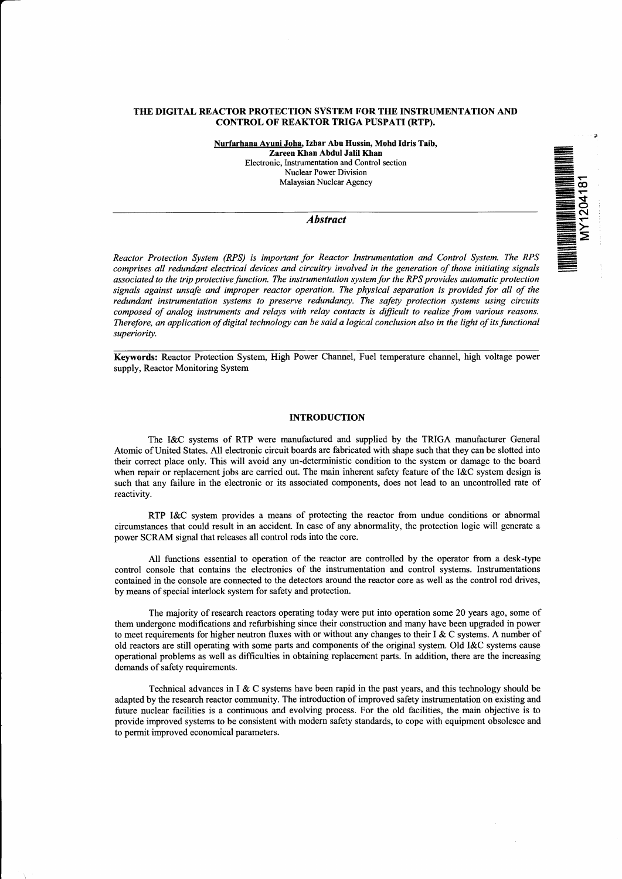#### **THE DIGITAL REACTOR PROTECTION SYSTEM FOR THE INSTRUMENTATION AND CONTROL OF REAKTOR TRIGA PUSPATI (RTP).**

**Nurfarhana Avuni Joha. Izhar Abu Hussin, Mohd Idris Taib, Zareen Khan Abdul Jalil Khan Electronic, Instrumentation and Control section Nuclear Power Division Malaysian Nuclear Agency**

#### *Abstract*

**THE REAL PROPERTY AND REAL PROPERTY** 

*Reactor Protection System (RPS) is important for Reactor Instrumentation and Control System. The RPS comprises all redundant electrical devices and circuitry involved in the generation of those initiating signals associated to the trip protective function. The instrumentation system for the RPS provides automatic protection* signals against unsafe and improper reactor operation. The physical separation is provided for all of the *redundant instrumentation systems to preserve redundancy. The safety protection systems using circuits composed of analog instruments and relays with relay contacts is difficult to realize from various reasons. Therefore, an application of digital technology can be said a logical conclusion also in the light of its functional superiority.*

**Keywords:** Reactor Protection System, High Power Channel, Fuel temperature channel, high voltage power supply, Reactor Monitoring System

# **INTRODUCTION**

The I&C systems of RTP were manufactured and supplied by the TRIGA manufacturer General Atomic of United States. All electronic circuit boards are fabricated with shape such that they can be slotted into their correct place only. This will avoid any un-deterministic condition to the system or damage to the board when repair or replacement jobs are carried out. The main inherent safety feature of the I&C system design is such that any failure in the electronic or its associated components, does not lead to an uncontrolled rate of reactivity.

RTP I&C system provides a means of protecting the reactor from undue conditions or abnormal circumstances that could result in an accident. In case of any abnormality, the protection logic will generate a power SCRAM signal that releases all control rods into the core.

All functions essential to operation of the reactor are controlled by the operator from a desk-type control console that contains the electronics of the instrumentation and control systems. Instrumentations contained in the console are connected to the detectors around the reactor core as well as the control rod drives, by means of special interlock system for safety and protection.

The majority of research reactors operating today were put into operation some 20 years ago, some of them undergone modifications and refurbishing since their construction and many have been upgraded in power to meet requirements for higher neutron fluxes with or without any changes to their I & C systems. A number of old reactors are still operating with some parts and components of the original system. Old I&C systems cause operational problems as well as difficulties in obtaining replacement parts. In addition, there are the increasing demands of safety requirements.

Technical advances in  $I \& C$  systems have been rapid in the past years, and this technology should be adapted by the research reactor community. The introduction of improved safety instrumentation on existing and future nuclear facilities is a continuous and evolving process. For the old facilities, the main objective is to provide improved systems to be consistent with modem safety standards, to cope with equipment obsolesce and to permit improved economical parameters.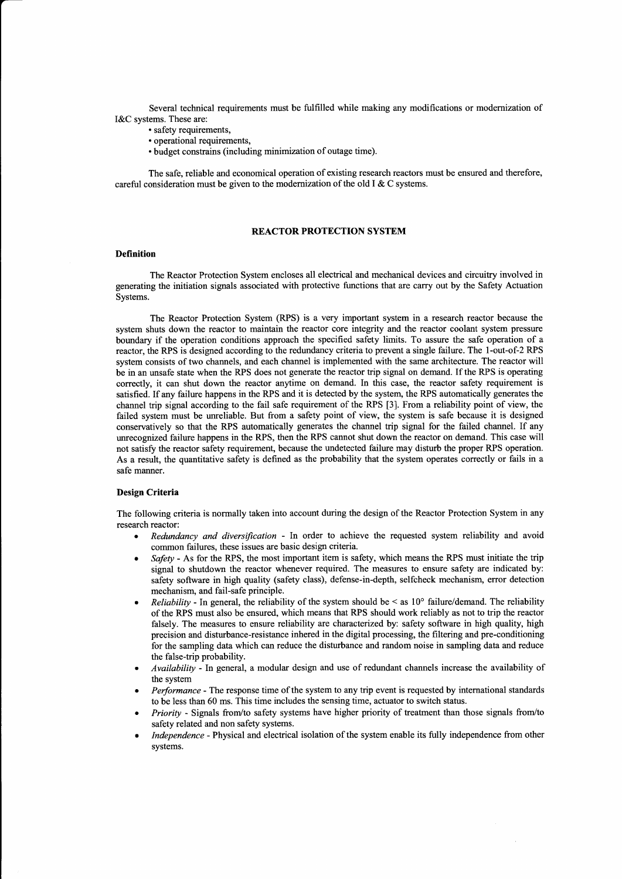Several technical requirements must be fulfilled while making any modifications or modernization of I&C systems. These are:

- safety requirements,
- operational requirements,
- budget constrains (including minimization of outage time).

The safe, reliable and economical operation of existing research reactors must be ensured and therefore, careful consideration must be given to the modernization of the old I& C systems.

#### **REACTOR PROTECTION SYSTEM**

#### **Definition**

The Reactor Protection System encloses all electrical and mechanical devices and circuitry involved in generating the initiation signals associated with protective functions that are carry out by the Safety Actuation Systems.

The Reactor Protection System (RPS) is a very important system in a research reactor because the system shuts down the reactor to maintain the reactor core integrity and the reactor coolant system pressure boundary if the operation conditions approach the specified safety limits. To assure the safe operation of a reactor, the RPS is designed according to the redundancy criteria to prevent a single failure. The l-out-of-2 RPS system consists of two channels, and each channel is implemented with the same architecture. The reactor will be in an unsafe state when the RPS does not generate the reactor trip signal on demand. If the RPS is operating correctly, it can shut down the reactor anytime on demand. In this case, the reactor safety requirement is satisfied. If any failure happens in the RPS and it is detected by the system, the RPS automatically generates the channel trip signal according to the fail safe requirement of the RPS [3]. From a reliability point of view, the failed system must be unreliable. But from a safety point of view, the system is safe because it is designed conservatively so that the RPS automatically generates the channel trip signal for the failed channel. If any unrecognized failure happens in the RPS, then the RPS cannot shut down the reactor on demand. This case will not satisfy the reactor safety requirement, because the undetected failure may disturb the proper RPS operation. As a result, the quantitative safety is defined as the probability that the system operates correctly or fails in a safe manner.

### **Design Criteria**

The following criteria is normally taken into account during the design of the Reactor Protection System in any research reactor:

- *Redundancy and diversification* In order to achieve the requested system reliability and avoid common failures, these issues are basic design criteria.
- *Safety* As for the RPS, the most important item is safety, which means the RPS must initiate the trip signal to shutdown the reactor whenever required. The measures to ensure safety are indicated by: safety software in high quality (safety class), defense-in-depth, selfcheck mechanism, error detection mechanism, and fail-safe principle.
- *Reliability* In general, the reliability of the system should be < as 10° failure/demand. The reliability of the RPS must also be ensured, which means that RPS should work reliably as not to trip the reactor falsely. The measures to ensure reliability are characterized by: safety software in high quality, high precision and disturbance-resistance inhered in the digital processing, the filtering and pre-conditioning for the sampling data which can reduce the disturbance and random noise in sampling data and reduce the false-trip probability.
- *Availability* In general, a modular design and use of redundant channels increase the availability of the system
- *Performance* The response time of the system to any trip event is requested by international standards to be less than 60 ms. This time includes the sensing time, actuator to switch status.
- *Priority* Signals from/to safety systems have higher priority of treatment than those signals from/to safety related and non safety systems.
- *Independence* Physical and electrical isolation of the system enable its fully independence from other systems.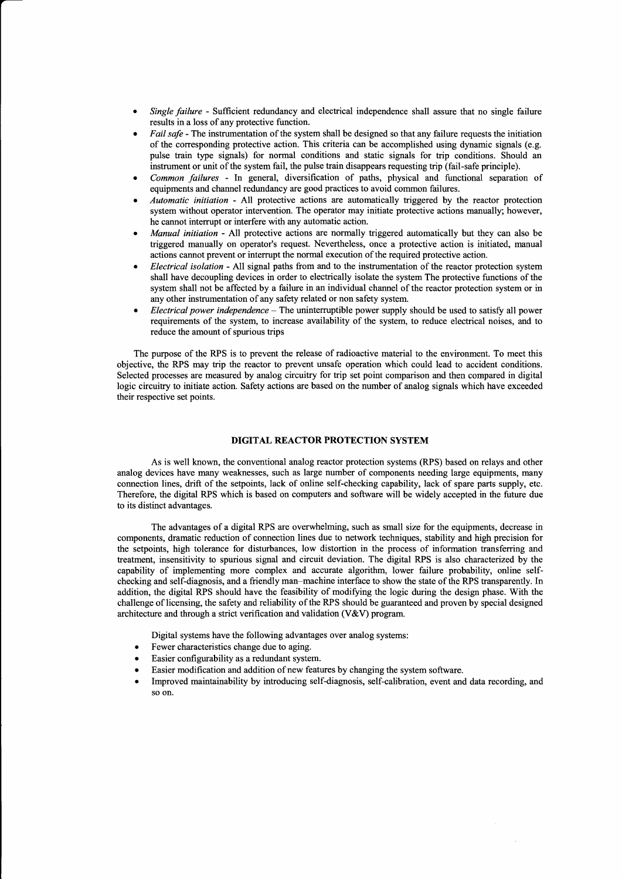- *Single failure -* Sufficient redundancy and electrical independence shall assure that no single failure results in a loss of any protective function.
- *Fail safe* The instrumentation of the system shall be designed so that any failure requests the initiation of the corresponding protective action. This criteria can be accomplished using dynamic signals (e.g. pulse train type signals) for normal conditions and static signals for trip conditions. Should an instrument or unit of the system fail, the pulse train disappears requesting trip (fail-safe principle).
- *Common failures* In general, diversification of paths, physical and functional separation of equipments and channel redundancy are good practices to avoid common failures.
- *Automatic initiation* All protective actions are automatically triggered by the reactor protection system without operator intervention. The operator may initiate protective actions manually; however, he cannot interrupt or interfere with any automatic action.
- *Manual initiation* All protective actions are normally triggered automatically but they can also be triggered manually on operator's request. Nevertheless, once a protective action is initiated, manual actions cannot prevent or interrupt the normal execution of the required protective action.
- *Electrical isolation* All signal paths from and to the instrumentation of the reactor protection system shall have decoupling devices in order to electrically isolate the system The protective functions of the system shall not be affected by a failure in an individual channel of the reactor protection system or in any other instrumentation of any safety related or non safety system.
- *Electrical power independence -* The uninterruptible power supply should be used to satisfy all power requirements of the system, to increase availability of the system, to reduce electrical noises, and to reduce the amount of spurious trips

The purpose of the RPS is to prevent the release of radioactive material to the environment. To meet this objective, the RPS may trip the reactor to prevent unsafe operation which could lead to accident conditions. Selected processes are measured by analog circuitry for trip set point comparison and then compared in digital logic circuitry to initiate action. Safety actions are based on the number of analog signals which have exceeded their respective set points.

# **DIGITAL REACTOR PROTECTION SYSTEM**

As is well known, the conventional analog reactor protection systems (RPS) based on relays and other analog devices have many weaknesses, such as large number of components needing large equipments, many connection lines, drift of the setpoints, lack of online self-checking capability, lack of spare parts supply, etc. Therefore, the digital RPS which is based on computers and software will be widely accepted in the future due to its distinct advantages.

The advantages of a digital RPS are overwhelming, such as small size for the equipments, decrease in components, dramatic reduction of connection lines due to network techniques, stability and high precision for the setpoints, high tolerance for disturbances, low distortion in the process of information transferring and treatment, insensitivity to spurious signal and circuit deviation. The digital RPS is also characterized by the capability of implementing more complex and accurate algorithm, lower failure probability, online selfchecking and self-diagnosis, and a friendly man-machine interface to show the state of the RPS transparently. In addition, the digital RPS should have the feasibility of modifying the logic during the design phase. With the challenge of licensing, the safety and reliability of the RPS should be guaranteed and proven by special designed architecture and through a strict verification and validation (V&V) program.

Digital systems have the following advantages over analog systems:

- Fewer characteristics change due to aging.
- Easier configurability as a redundant system.
- Easier modification and addition of new features by changing the system software.
- Improved maintainability by introducing self-diagnosis, self-calibration, event and data recording, and so on.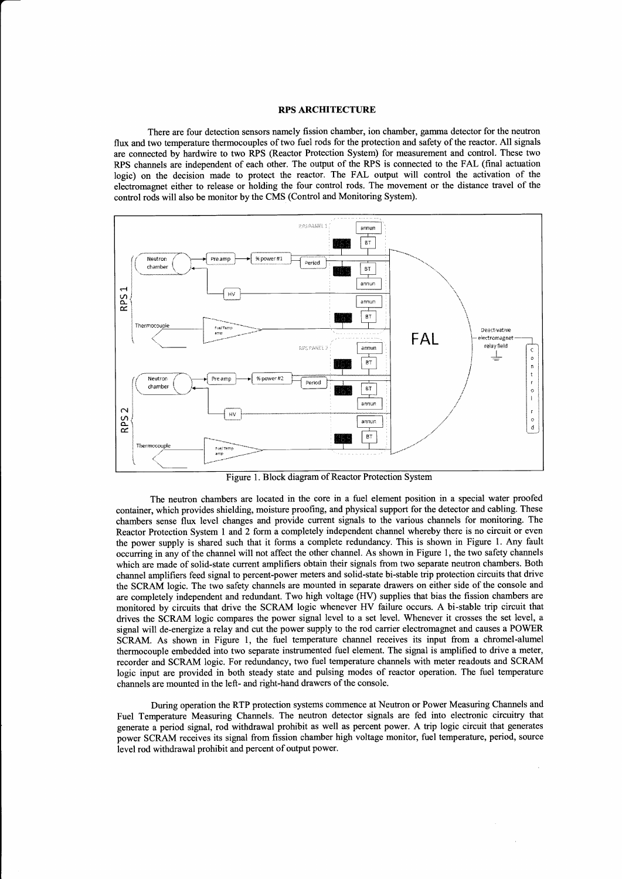# RPS ARCHITECTURE

There are four detection sensors namely fission chamber, ion chamber, gamma detector for the neutron flux and two temperature thermocouples of two fuel rods for the protection and safety of the reactor. All signals are connected by hardwire to two RPS (Reactor Protection System) for measurement and control. These two RPS channels are independent of each other. The output of the RPS is connected to the FAL (final actuation logic) on the decision made to protect the reactor. The FAL output will control the activation of the electromagnet either to release or holding the four control rods. The movement or the distance travel of the control rods will also be monitor by the CMS (Control and Monitoring System).



Figure 1. Block diagram of Reactor Protection System

The neutron chambers are located in the core in a fuel element position in a special water proofed container, which provides shielding, moisture proofing, and physical support for the detector and cabling. These chambers sense flux level changes and provide current signals to the various channels for monitoring. The Reactor Protection System 1 and 2 form a completely independent channel whereby there is no circuit or even the power supply is shared such that it forms a complete redundancy. This is shown in Figure 1. Any fault occurring in any of the channel will not affect the other channel. As shown in Figure 1, the two safety channels which are made of solid-state current amplifiers obtain their signals from two separate neutron chambers. Both channel amplifiers feed signal to percent-power meters and solid-state bi-stable trip protection circuits that drive the SCRAM logic. The two safety channels are mounted in separate drawers on either side of the console and are completely independent and redundant. Two high voltage (HV) supplies that bias the fission chambers are monitored by circuits that drive the SCRAM logic whenever HV failure occurs. A bi-stable trip circuit that drives the SCRAM logic compares the power signal level to a set level. Whenever it crosses the set level, a signal will de-energize a relay and cut the power supply to the rod carrier electromagnet and causes a POWER SCRAM. As shown in Figure 1, the fuel temperature channel receives its input from a chromel-alumel thermocouple embedded into two separate instrumented fuel element. The signal is amplified to drive a meter, recorder and SCRAM logic. For redundancy, two fuel temperature channels with meter readouts and SCRAM logic input are provided in both steady state and pulsing modes of reactor operation. The fuel temperature channels are mounted in the left- and right-hand drawers of the console.

During operation the RTP protection systems commence at Neutron or Power Measuring Channels and Fuel Temperature Measuring Channels. The neutron detector signals are fed into electronic circuitry that generate a period signal, rod withdrawal prohibit as well as percent power. A trip logic circuit that generates power SCRAM receives its signal from fission chamber high voltage monitor, fuel temperature, period, source level rod withdrawal prohibit and percent of output power.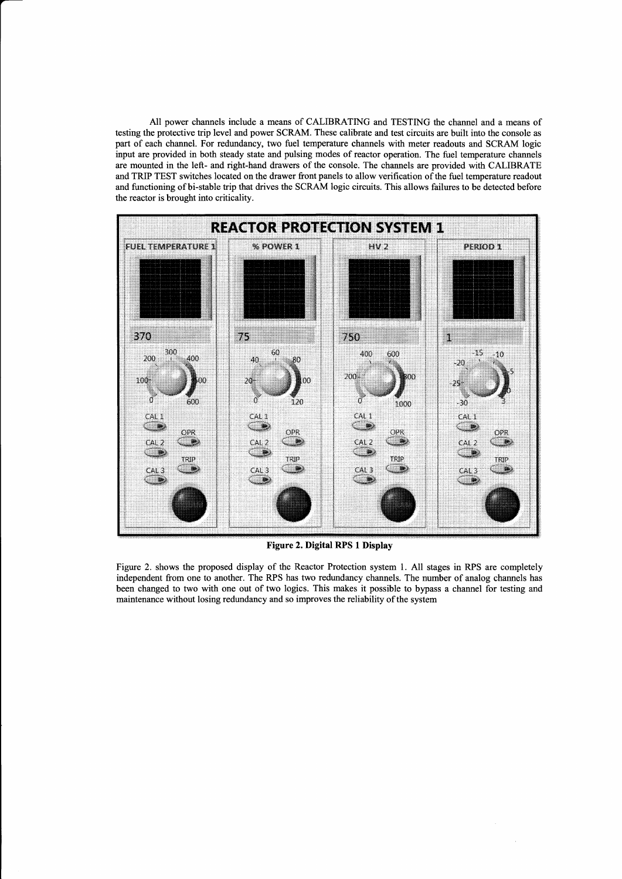All power channels include a means of CALIBRATING and TESTING the channel and a means of testing the protective trip level and power SCRAM. These calibrate and test circuits are built into the console as part of each channel. For redundancy, two fuel temperature channels with meter readouts and SCRAM logic input are provided in both steady state and pulsing modes of reactor operation. The fuel temperature channels are mounted in the left- and right-hand drawers of the console. The channels are provided with CALIBRATE and TRIP TEST switches located on the drawer front panels to allow verification of the fuel temperature readout and functioning of bi-stable trip that drives the SCRAM logic circuits. This allows failures to be detected before the reactor is brought into criticality.



**Figure 2. Digital RPS 1 Display**

Figure 2. shows the proposed display of the Reactor Protection system 1. All stages in RPS are completely independent from one to another. The RPS has two redundancy channels. The number of analog channels has been changed to two with one out of two logics. This makes it possible to bypass a channel for testing and maintenance without losing redundancy and so improves the reliability of the system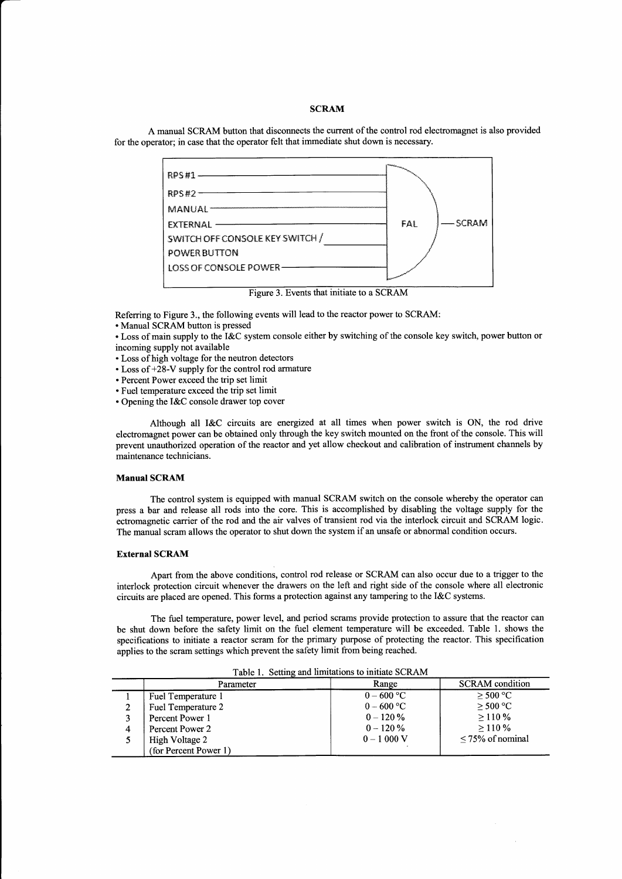# **SCRAM**

A manual SCRAM button that disconnects the current of the control rod electromagnet is also provided for the operator; in case that the operator felt that immediate shut down is necessary.



Figure 3. Events that initiate to a SCRAM

Referring to Figure 3., the following events will lead to the reactor power to SCRAM:

• Manual SCRAM button is pressed

• Loss of main supply to the I&C system console either by switching of the console key switch, power button or incoming supply not available

- Loss of high voltage for the neutron detectors
- Loss of +28-V supply for the control rod armature
- Percent Power exceed the trip set limit
- Fuel temperature exceed the trip set limit
- Opening the I&C console drawer top cover

Although all I&C circuits are energized at all times when power switch is ON, the rod drive electromagnet power can be obtained only through the key switch mounted on the front of the console. This will prevent unauthorized operation of the reactor and yet allow checkout and calibration of instrument channels by maintenance technicians.

### **Manual SCRAM**

The control system is equipped with manual SCRAM switch on the console whereby the operator can press a bar and release all rods into the core. This is accomplished by disabling the voltage supply for the ectromagnetic carrier of the rod and the air valves of transient rod via the interlock circuit and SCRAM logic. The manual scram allows the operator to shut down the system if an unsafe or abnormal condition occurs.

# **External SCRAM**

Apart from the above conditions, control rod release or SCRAM can also occur due to a trigger to the interlock protection circuit whenever the drawers on the left and right side of the console where all electronic circuits are placed are opened. This forms a protection against any tampering to the I&C systems.

The fuel temperature, power level, and period scrams provide protection to assure that the reactor can be shut down before the safety limit on the fuel element temperature will be exceeded. Table 1. shows the specifications to initiate a reactor scram for the primary purpose of protecting the reactor. This specification applies to the scram settings which prevent the safety limit from being reached.

| Tuble 1, pennig and minimum to minime bell in |                       |              |                        |  |
|-----------------------------------------------|-----------------------|--------------|------------------------|--|
|                                               | Parameter             | Range        | <b>SCRAM</b> condition |  |
|                                               | Fuel Temperature 1    | $0 - 600 °C$ | $>$ 500 °C             |  |
|                                               | Fuel Temperature 2    | $0 - 600$ °C | $>$ 500 °C             |  |
|                                               | Percent Power 1       | $0 - 120 \%$ | >110%                  |  |
| 4                                             | Percent Power 2       | $0 - 120 \%$ | >110%                  |  |
|                                               | High Voltage 2        | $0 - 1000$ V | $\leq$ 75% of nominal  |  |
|                                               | (for Percent Power 1) |              |                        |  |

Table 1. Setting and limitations to initiate SCRAM